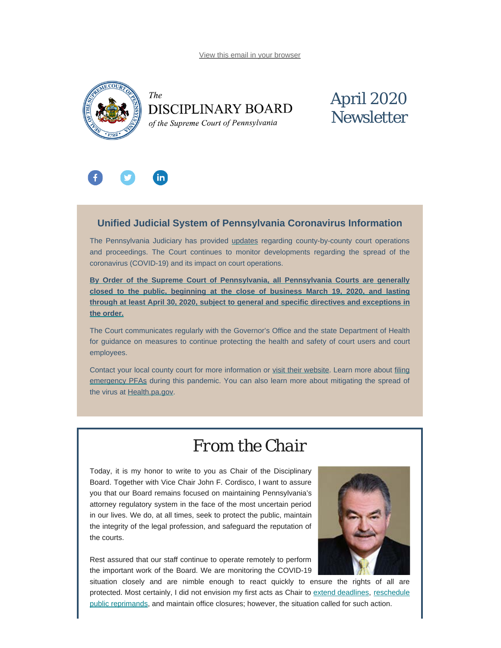[View this email in your browser](#page-0-0)

<span id="page-0-0"></span>



# April 2020 **Newsletter**



### **Unified Judicial System of Pennsylvania Coronavirus Information**

The Pennsylvania Judiciary has provided [updates](http://www.pacourts.us/ujs-coronavirus-information) regarding county-by-county court operations and proceedings. The Court continues to monitor developments regarding the spread of the coronavirus (COVID-19) and its impact on court operations.

**[By Order of the Supreme Court of Pennsylvania, all Pennsylvania Courts are generally](http://www.pacourts.us/assets/files/page-1305/file-8846.pdf) [closed to the public, beginning](http://www.pacourts.us/assets/files/page-1305/file-8846.pdf) [at the close of business March 19, 2020, and lasting](http://www.pacourts.us/assets/files/page-1305/file-8846.pdf) [through at least April 30, 2020, subject to general and specific directives and exceptions in](http://www.pacourts.us/assets/files/page-1305/file-8846.pdf) [the order.](http://www.pacourts.us/assets/files/page-1305/file-8846.pdf)**

The Court communicates regularly with the Governor's Office and the state Department of Health for guidance on measures to continue protecting the health and safety of court users and court employees.

Contact your local county court for more information or [visit their website](http://www.pacourts.us/courts/courts-of-common-pleas/). Learn more about [filing](http://www.pacourts.us/learn/protection-orders) [emergency PFAs](http://www.pacourts.us/learn/protection-orders) during this pandemic. You can also learn more about mitigating the spread of the virus at [Health.pa.gov.](https://www.health.pa.gov/topics/disease/Pages/Coronavirus.aspx)

### *From the Chair*

Today, it is my honor to write to you as Chair of the Disciplinary Board. Together with Vice Chair John F. Cordisco, I want to assure you that our Board remains focused on maintaining Pennsylvania's attorney regulatory system in the face of the most uncertain period in our lives. We do, at all times, seek to protect the public, maintain the integrity of the legal profession, and safeguard the reputation of the courts.

Rest assured that our staff continue to operate remotely to perform the important work of the Board. We are monitoring the COVID-19



situation closely and are nimble enough to react quickly to ensure the rights of all are protected. Most certainly, I did not envision my first acts as Chair to [extend deadlines](https://www.padisciplinaryboard.org/news-media/news-article/1251/disciplinary-board-issues-second-order-in-response-to-covid-19), [reschedule](https://www.padisciplinaryboard.org/news-media/news-article/1253/disciplinary-board-continues-and-reschedules-public-reprimands) [public reprimands,](https://www.padisciplinaryboard.org/news-media/news-article/1253/disciplinary-board-continues-and-reschedules-public-reprimands) and maintain office closures; however, the situation called for such action.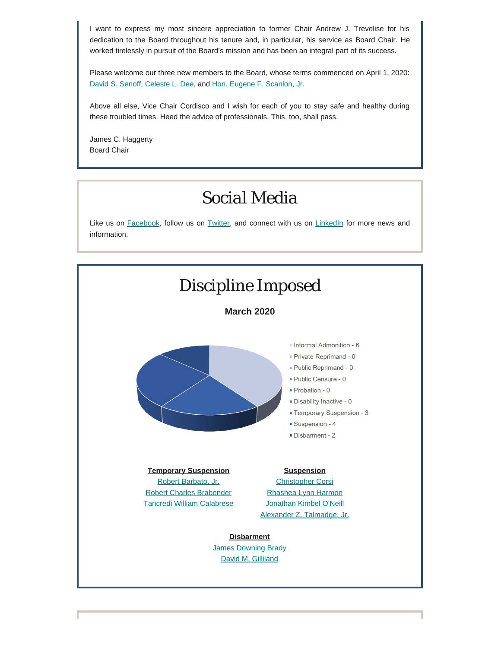I want to express my most sincere appreciation to former Chair Andrew J. Trevelise for his dedication to the Board throughout his tenure and, in particular, his service as Board Chair. He worked tirelessly in pursuit of the Board's mission and has been an integral part of its success.

Please welcome our three new members to the Board, whose terms commenced on April 1, 2020: [David S. Senoff](https://www.padisciplinaryboard.org/news-media/news-article/1233/philadelphia-attorney-david-s-senoff-appointed-as-member-of-pa-disciplinary-board), [Celeste L. Dee](https://www.padisciplinaryboard.org/news-media/news-article/1231/celeste-l-dee-appointed-as-member-of-pa-disciplinary-board), and [Hon. Eugene F. Scanlon, Jr.](https://www.padisciplinaryboard.org/news-media/news-article/1232/former-allegheny-county-judge-eugene-f-scanlon-jr-appointed-as-member-of-pa-disciplinary-board)

Above all else, Vice Chair Cordisco and I wish for each of you to stay safe and healthy during these troubled times. Heed the advice of professionals. This, too, shall pass.

James C. Haggerty Board Chair

## *Social Media*

Like us on [Facebook](https://www.facebook.com/DBoardPA), follow us on [Twitter,](https://twitter.com/DBoardPa) and connect with us on [LinkedIn](https://www.linkedin.com/company/pennsylvania-disciplinary-board/) for more news and information.

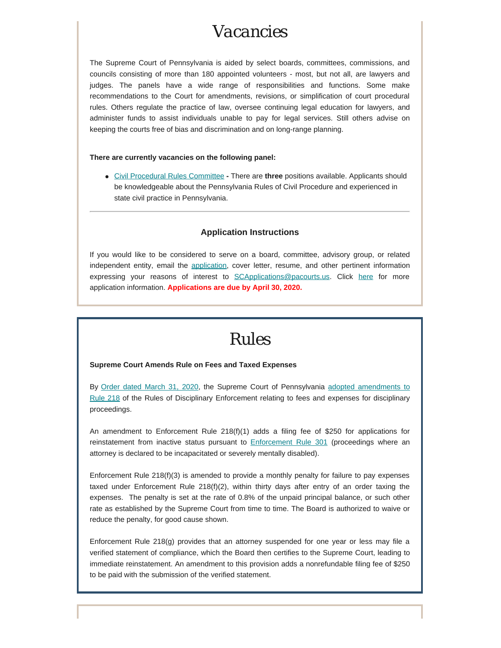## *Vacancies*

The Supreme Court of Pennsylvania is aided by select boards, committees, commissions, and councils consisting of more than 180 appointed volunteers - most, but not all, are lawyers and judges. The panels have a wide range of responsibilities and functions. Some make recommendations to the Court for amendments, revisions, or simplification of court procedural rules. Others regulate the practice of law, oversee continuing legal education for lawyers, and administer funds to assist individuals unable to pay for legal services. Still others advise on keeping the courts free of bias and discrimination and on long-range planning.

#### **There are currently vacancies on the following panel:**

[Civil Procedural Rules Committee](http://www.pacourts.us/courts/supreme-court/committees/rules-committees/civil-procedural-rules-committee) **-** There are **three** positions available. Applicants should be knowledgeable about the Pennsylvania Rules of Civil Procedure and experienced in state civil practice in Pennsylvania.

#### **Application Instructions**

If you would like to be considered to serve on a board, committee, advisory group, or related independent entity, email the [application](http://www.pacourts.us/assets/files/setting-1943/file-58.pdf?cb=178bf0), cover letter, resume, and other pertinent information expressing your reasons of interest to [SCApplications@pacourts.us](mailto:SCApplications@pacourts.us). Click [here](http://www.pacourts.us/courts/supreme-court/committees/) for more application information. **Applications are due by April 30, 2020.**

### *Rules*

#### **Supreme Court Amends Rule on Fees and Taxed Expenses**

By [Order dated March 31, 2020](http://www.pacourts.us/assets/opinions/Supreme/out/Order%20Entered%20-%2010438527099032115.pdf?cb=1), the Supreme Court of Pennsylvania [adopted amendments to](http://www.pacourts.us/assets/opinions/Supreme/out/Order%20Entered-1%20-%2010438527099032092.pdf?cb=1) [Rule](http://www.pacourts.us/assets/opinions/Supreme/out/Order%20Entered-1%20-%2010438527099032092.pdf?cb=1) 218 of the Rules of Disciplinary Enforcement relating to fees and expenses for disciplinary proceedings.

An amendment to Enforcement Rule 218(f)(1) adds a filing fee of \$250 for applications for reinstatement from inactive status pursuant to [Enforcement Rule 301](https://www.padisciplinaryboard.org/for-attorneys/rules/rule/5/The%20Pennsylvania%20Rules%20of%20Disciplinary%20Enforcement#rule-38) (proceedings where an attorney is declared to be incapacitated or severely mentally disabled).

Enforcement Rule 218(f)(3) is amended to provide a monthly penalty for failure to pay expenses taxed under Enforcement Rule 218(f)(2), within thirty days after entry of an order taxing the expenses. The penalty is set at the rate of 0.8% of the unpaid principal balance, or such other rate as established by the Supreme Court from time to time. The Board is authorized to waive or reduce the penalty, for good cause shown.

Enforcement Rule 218(g) provides that an attorney suspended for one year or less may file a verified statement of compliance, which the Board then certifies to the Supreme Court, leading to immediate reinstatement. An amendment to this provision adds a nonrefundable filing fee of \$250 to be paid with the submission of the verified statement.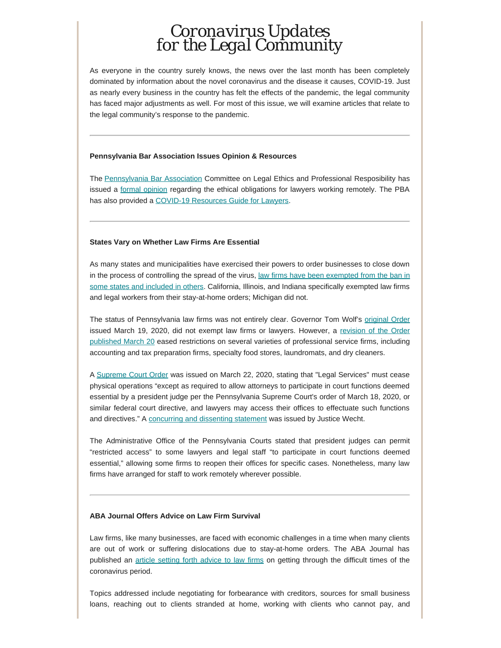### *Coronavirus Updates for the Legal Community*

As everyone in the country surely knows, the news over the last month has been completely dominated by information about the novel coronavirus and the disease it causes, COVID-19. Just as nearly every business in the country has felt the effects of the pandemic, the legal community has faced major adjustments as well. For most of this issue, we will examine articles that relate to the legal community's response to the pandemic.

#### **Pennsylvania Bar Association Issues Opinion & Resources**

The [Pennsylvania Bar Association](https://www.pabar.org/site/) Committee on Legal Ethics and Professional Resposibility has issued a [formal opinion](http://www.pabar.org/members/catalogs/Ethics%20Opinions/formal/F2020-300.pdf) regarding the ethical obligations for lawyers working remotely. The PBA has also provided a [COVID-19 Resources Guide for Lawyers](https://www.pabar.org/site/News-and-Publications/COVID-19-Resources-Guide).

#### **States Vary on Whether Law Firms Are Essential**

As many states and municipalities have exercised their powers to order businesses to close down in the process of controlling the spread of the virus, [law firms have been exempted from the ban in](https://www.abajournal.com/web/article/lawyers-considered-essential-workers-in-some-states-amid-coronavirus) [some states and included in others.](https://www.abajournal.com/web/article/lawyers-considered-essential-workers-in-some-states-amid-coronavirus) California, Illinois, and Indiana specifically exempted law firms and legal workers from their stay-at-home orders; Michigan did not.

The status of Pennsylvania law firms was not entirely clear. Governor Tom Wolf's [original Order](https://www.spotlightpa.org/news/2020/03/pennsylvania-shutdown-lifesustaining-businesses-tom-wolf-shut-down/) issued March 19, 2020, did not exempt law firms or lawyers. However, a [revision of the Order](https://www.inquirer.com/health/coronavirus/spl/wolf-coronavirus-shutdown-businesses-20200320.html) [published March 20](https://www.inquirer.com/health/coronavirus/spl/wolf-coronavirus-shutdown-businesses-20200320.html) eased restrictions on several varieties of professional service firms, including accounting and tax preparation firms, specialty food stores, laundromats, and dry cleaners.

A [Supreme Court Order](http://www.pacourts.us/assets/files/page-1305/file-8710.pdf) was issued on March 22, 2020, stating that "Legal Services" must cease physical operations "except as required to allow attorneys to participate in court functions deemed essential by a president judge per the Pennsylvania Supreme Court's order of March 18, 2020, or similar federal court directive, and lawyers may access their offices to effectuate such functions and directives." A [concurring and dissenting statement](http://www.pacourts.us/assets/files/page-1305/file-8709.pdf) was issued by Justice Wecht.

The Administrative Office of the Pennsylvania Courts stated that president judges can permit "restricted access" to some lawyers and legal staff "to participate in court functions deemed essential," allowing some firms to reopen their offices for specific cases. Nonetheless, many law firms have arranged for staff to work remotely wherever possible.

#### **ABA Journal Offers Advice on Law Firm Survival**

Law firms, like many businesses, are faced with economic challenges in a time when many clients are out of work or suffering dislocations due to stay-at-home orders. The ABA Journal has published an [article setting forth advice to law firms](https://www.abajournal.com/web/article/how-can-law-firms-stay-afloat-through-the-covid-19-crisis) on getting through the difficult times of the coronavirus period.

Topics addressed include negotiating for forbearance with creditors, sources for small business loans, reaching out to clients stranded at home, working with clients who cannot pay, and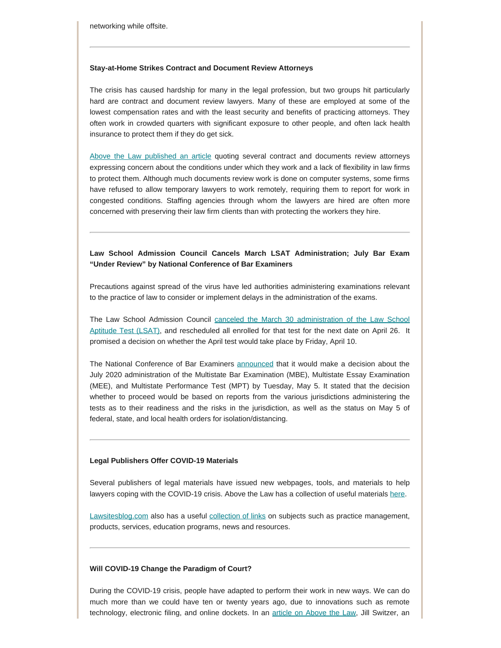networking while offsite.

#### **Stay-at-Home Strikes Contract and Document Review Attorneys**

The crisis has caused hardship for many in the legal profession, but two groups hit particularly hard are contract and document review lawyers. Many of these are employed at some of the lowest compensation rates and with the least security and benefits of practicing attorneys. They often work in crowded quarters with significant exposure to other people, and often lack health insurance to protect them if they do get sick.

[Above the Law published an article](https://abovethelaw.com/2020/03/doc-review-during-coronavirus-contract-attorneys-are-suffering-in-silence/?rf=1) quoting several contract and documents review attorneys expressing concern about the conditions under which they work and a lack of flexibility in law firms to protect them. Although much documents review work is done on computer systems, some firms have refused to allow temporary lawyers to work remotely, requiring them to report for work in congested conditions. Staffing agencies through whom the lawyers are hired are often more concerned with preserving their law firm clients than with protecting the workers they hire.

#### **Law School Admission Council Cancels March LSAT Administration; July Bar Exam "Under Review" by National Conference of Bar Examiners**

Precautions against spread of the virus have led authorities administering examinations relevant to the practice of law to consider or implement delays in the administration of the exams.

The Law School Admission Council [canceled the March 30 administration of the Law School](https://www.lsac.org/update-coronavirus-and-lsat) [Aptitude Test \(LSAT\),](https://www.lsac.org/update-coronavirus-and-lsat) and rescheduled all enrolled for that test for the next date on April 26. It promised a decision on whether the April test would take place by Friday, April 10.

The National Conference of Bar Examiners [announced](http://www.ncbex.org/ncbe-covid-19-updates/) that it would make a decision about the July 2020 administration of the Multistate Bar Examination (MBE), Multistate Essay Examination (MEE), and Multistate Performance Test (MPT) by Tuesday, May 5. It stated that the decision whether to proceed would be based on reports from the various jurisdictions administering the tests as to their readiness and the risks in the jurisdiction, as well as the status on May 5 of federal, state, and local health orders for isolation/distancing.

#### **Legal Publishers Offer COVID-19 Materials**

Several publishers of legal materials have issued new webpages, tools, and materials to help lawyers coping with the COVID-19 crisis. Above the Law has a collection of useful materials [here.](https://abovethelaw.com/2020/03/legal-publishers-roll-out-covid-19-resources-toolkits-alerts-advice-some-even-free/?rf=1)

[Lawsitesblog.com](https://www.lawsitesblog.com/) also has a useful [collection of links](https://www.lawsitesblog.com/coronavirus-resources) on subjects such as practice management, products, services, education programs, news and resources.

#### **Will COVID-19 Change the Paradigm of Court?**

During the COVID-19 crisis, people have adapted to perform their work in new ways. We can do much more than we could have ten or twenty years ago, due to innovations such as remote technology, electronic filing, and online dockets. In an [article on Above the Law](https://abovethelaw.com/2020/03/is-the-court-a-place-or-a-service/), Jill Switzer, an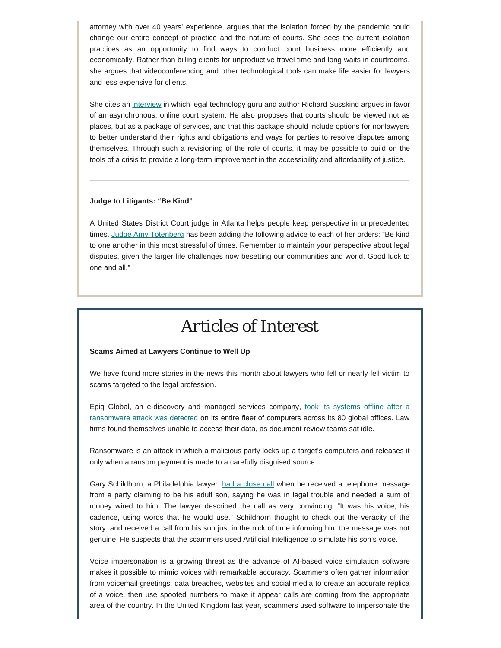attorney with over 40 years' experience, argues that the isolation forced by the pandemic could change our entire concept of practice and the nature of courts. She sees the current isolation practices as an opportunity to find ways to conduct court business more efficiently and economically. Rather than billing clients for unproductive travel time and long waits in courtrooms, she argues that videoconferencing and other technological tools can make life easier for lawyers and less expensive for clients.

She cites an [interview](https://www.abajournal.com/news/article/online-courts-the-future-of-justice-and-being-bold-in-2020) in which legal technology guru and author Richard Susskind argues in favor of an asynchronous, online court system. He also proposes that courts should be viewed not as places, but as a package of services, and that this package should include options for nonlawyers to better understand their rights and obligations and ways for parties to resolve disputes among themselves. Through such a revisioning of the role of courts, it may be possible to build on the tools of a crisis to provide a long-term improvement in the accessibility and affordability of justice.

#### **Judge to Litigants: "Be Kind"**

A United States District Court judge in Atlanta helps people keep perspective in unprecedented times. [Judge Amy Totenberg](https://www.abajournal.com/news/article/federal-judge-includes-be-kind-advice-in-orders-following-covid-19-pandemic) has been adding the following advice to each of her orders: "Be kind to one another in this most stressful of times. Remember to maintain your perspective about legal disputes, given the larger life challenges now besetting our communities and world. Good luck to one and all."

## *Articles of Interest*

#### **Scams Aimed at Lawyers Continue to Well Up**

We have found more stories in the news this month about lawyers who fell or nearly fell victim to scams targeted to the legal profession.

Epiq Global, an e-discovery and managed services company, [took its systems offline after a](https://techcrunch.com/2020/03/02/epiq-global-ransomware/) [ransomware attack was detected](https://techcrunch.com/2020/03/02/epiq-global-ransomware/) on its entire fleet of computers across its 80 global offices. Law firms found themselves unable to access their data, as document review teams sat idle.

Ransomware is an attack in which a malicious party locks up a target's computers and releases it only when a ransom payment is made to a carefully disguised source.

Gary Schildhorn, a Philadelphia lawyer, [had a close call](https://www.abajournal.com/news/article/eckert-seamans-lawyer-warns-about-voice-fakers-after-he-nearly-wired-9k-to-scammer) when he received a telephone message from a party claiming to be his adult son, saying he was in legal trouble and needed a sum of money wired to him. The lawyer described the call as very convincing. "It was his voice, his cadence, using words that he would use." Schildhorn thought to check out the veracity of the story, and received a call from his son just in the nick of time informing him the message was not genuine. He suspects that the scammers used Artificial Intelligence to simulate his son's voice.

Voice impersonation is a growing threat as the advance of AI-based voice simulation software makes it possible to mimic voices with remarkable accuracy. Scammers often gather information from voicemail greetings, data breaches, websites and social media to create an accurate replica of a voice, then use spoofed numbers to make it appear calls are coming from the appropriate area of the country. In the United Kingdom last year, scammers used software to impersonate the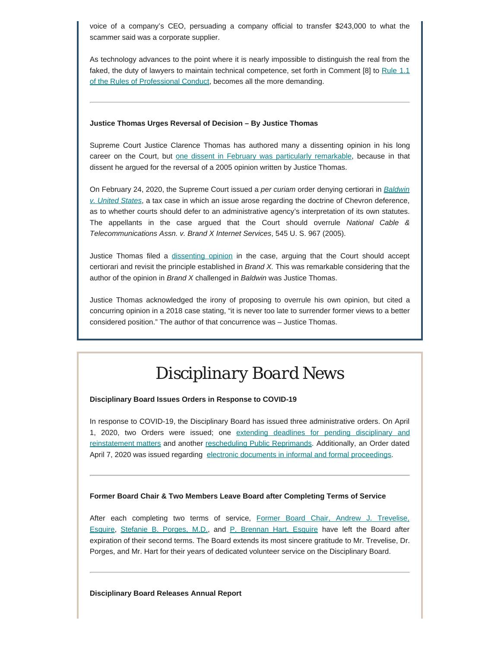voice of a company's CEO, persuading a company official to transfer \$243,000 to what the scammer said was a corporate supplier.

As technology advances to the point where it is nearly impossible to distinguish the real from the faked, the duty of lawyers to maintain technical competence, set forth in Comment [8] to [Rule 1.1](https://www.padisciplinaryboard.org/for-attorneys/rules/rule/3/the-rules-of-professional-conduct#rule-6) [of the Rules of Professional Conduct,](https://www.padisciplinaryboard.org/for-attorneys/rules/rule/3/the-rules-of-professional-conduct#rule-6) becomes all the more demanding.

#### **Justice Thomas Urges Reversal of Decision – By Justice Thomas**

Supreme Court Justice Clarence Thomas has authored many a dissenting opinion in his long career on the Court, but [one dissent in February was particularly remarkable,](https://www.foxnews.com/politics/in-dissent-thomas-cites-thomas-arguing-court-should-overrule-decision-authored-by-thomas) because in that dissent he argued for the reversal of a 2005 opinion written by Justice Thomas.

On February 24, 2020, the Supreme Court issued a *per curiam* order denying certiorari in *[Baldwin](https://www.scotusblog.com/case-files/cases/baldwin-v-united-states/) [v. United States](https://www.scotusblog.com/case-files/cases/baldwin-v-united-states/)*, a tax case in which an issue arose regarding the doctrine of Chevron deference, as to whether courts should defer to an administrative agency's interpretation of its own statutes. The appellants in the case argued that the Court should overrule *National Cable & Telecommunications Assn. v. Brand X Internet Services*, 545 U. S. 967 (2005).

Justice Thomas filed a [dissenting opinion](https://www.supremecourt.gov/opinions/19pdf/19-402_o75p.pdf) in the case, arguing that the Court should accept certiorari and revisit the principle established in *Brand X.* This was remarkable considering that the author of the opinion in *Brand X* challenged in *Baldwin* was Justice Thomas.

Justice Thomas acknowledged the irony of proposing to overrule his own opinion, but cited a concurring opinion in a 2018 case stating, "it is never too late to surrender former views to a better considered position." The author of that concurrence was – Justice Thomas.

# *Disciplinary Board News*

#### **Disciplinary Board Issues Orders in Response to COVID-19**

In response to COVID-19, the Disciplinary Board has issued three administrative orders. On April 1, 2020, two Orders were issued; one extending deadlines for [pending disciplinary and](https://www.padisciplinaryboard.org/news-media/news-article/1251/disciplinary-board-issues-second-order-in-response-to-covid-19) [reinstatement matters](https://www.padisciplinaryboard.org/news-media/news-article/1251/disciplinary-board-issues-second-order-in-response-to-covid-19) and another [rescheduling Public Reprimands](https://www.padisciplinaryboard.org/news-media/news-article/1253/disciplinary-board-continues-and-reschedules-public-reprimands). Additionally, an Order dated April 7, 2020 was issued regarding electronic documents [in informal and formal proceedings](https://www.padisciplinaryboard.org/news-media/news-article/1256/disciplinary-board-issues-order-regarding-electronic-documents-in-response-to-covid-19).

#### **Former Board Chair & Two Members Leave Board after Completing Terms of Service**

After each completing two terms of service, [Former Board Chair, Andrew J. Trevelise,](https://www.padisciplinaryboard.org/news-media/news-article/1250/former-board-chair-andrew-j-trevelise-leaves-board-after-completing-terms-of-service) [Esquire](https://www.padisciplinaryboard.org/news-media/news-article/1250/former-board-chair-andrew-j-trevelise-leaves-board-after-completing-terms-of-service), [Stefanie B. Porges, M.D.](https://www.padisciplinaryboard.org/news-media/news-article/1248/stefanie-b-porges-md-leaves-board-after-two-terms-of-service), and [P. Brennan Hart, Esquire](https://www.padisciplinaryboard.org/news-media/news-article/1249/p-brennan-hart-leaves-board-after-two-terms-of-service) have left the Board after expiration of their second terms. The Board extends its most sincere gratitude to Mr. Trevelise, Dr. Porges, and Mr. Hart for their years of dedicated volunteer service on the Disciplinary Board.

#### **Disciplinary Board Releases Annual Report**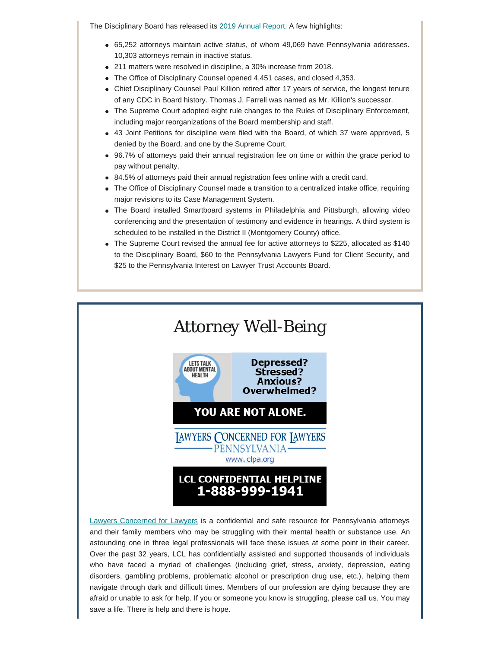The Disciplinary Board has released its [2019 Annual Report](https://www.padisciplinaryboard.org/about/reports). A few highlights:

- 65,252 attorneys maintain active status, of whom 49,069 have Pennsylvania addresses. 10,303 attorneys remain in inactive status.
- 211 matters were resolved in discipline, a 30% increase from 2018.
- The Office of Disciplinary Counsel opened 4,451 cases, and closed 4,353.
- Chief Disciplinary Counsel Paul Killion retired after 17 years of service, the longest tenure of any CDC in Board history. Thomas J. Farrell was named as Mr. Killion's successor.
- The Supreme Court adopted eight rule changes to the Rules of Disciplinary Enforcement, including major reorganizations of the Board membership and staff.
- 43 Joint Petitions for discipline were filed with the Board, of which 37 were approved, 5 denied by the Board, and one by the Supreme Court.
- 96.7% of attorneys paid their annual registration fee on time or within the grace period to pay without penalty.
- 84.5% of attorneys paid their annual registration fees online with a credit card.
- The Office of Disciplinary Counsel made a transition to a centralized intake office, requiring major revisions to its Case Management System.
- The Board installed Smartboard systems in Philadelphia and Pittsburgh, allowing video conferencing and the presentation of testimony and evidence in hearings. A third system is scheduled to be installed in the District II (Montgomery County) office.
- The Supreme Court revised the annual fee for active attorneys to \$225, allocated as \$140 to the Disciplinary Board, \$60 to the Pennsylvania Lawyers Fund for Client Security, and \$25 to the Pennsylvania Interest on Lawyer Trust Accounts Board.



[Lawyers Concerned for Lawyers](https://www.lclpa.org/) is a confidential and safe resource for Pennsylvania attorneys and their family members who may be struggling with their mental health or substance use. An astounding one in three legal professionals will face these issues at some point in their career. Over the past 32 years, LCL has confidentially assisted and supported thousands of individuals who have faced a myriad of challenges (including grief, stress, anxiety, depression, eating disorders, gambling problems, problematic alcohol or prescription drug use, etc.), helping them navigate through dark and difficult times. Members of our profession are dying because they are afraid or unable to ask for help. If you or someone you know is struggling, please call us. You may save a life. There is help and there is hope.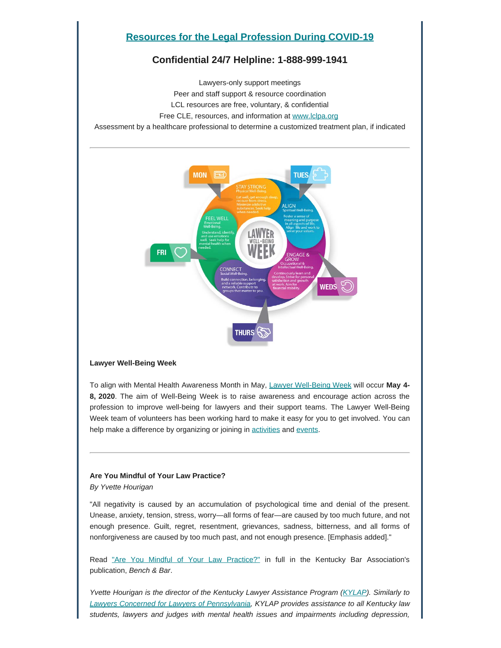### **[Resources for the Legal Profession During COVID-19](https://www.lclpa.org/wp-content/uploads/2020/04/LCL-PA-4.10.20-Updated-COVID-19-Resources-for-Agencies-and-Web.pdf)**

### **Confidential 24/7 Helpline: 1-888-999-1941**

Lawyers-only support meetings Peer and staff support & resource coordination LCL resources are free, voluntary, & confidential Free CLE, resources, and information at [www.lclpa.org](https://www.lclpa.org/) Assessment by a healthcare professional to determine a customized treatment plan, if indicated



#### **Lawyer Well-Being Week**

To align with Mental Health Awareness Month in May, [Lawyer Well-Being Week](https://lawyerwellbeing.net/lawyer-well-being-week/) will occur **May 4- 8, 2020**. The aim of Well-Being Week is to raise awareness and encourage action across the profession to improve well-being for lawyers and their support teams. The Lawyer Well-Being Week team of volunteers has been working hard to make it easy for you to get involved. You can help make a difference by organizing or joining in [activities](https://lawyerwellbeing.net/well-being-week-activity-ideas/) and [events](https://lawyerwellbeing.net/lawyer-well-being-champions/).

#### **Are You Mindful of Your Law Practice?**

*By Yvette Hourigan*

"All negativity is caused by an accumulation of psychological time and denial of the present. Unease, anxiety, tension, stress, worry—all forms of fear—are caused by too much future, and not enough presence. Guilt, regret, resentment, grievances, sadness, bitterness, and all forms of nonforgiveness are caused by too much past, and not enough presence. [Emphasis added]."

Read ["Are You Mindful of Your Law Practice?"](https://lsc-pagepro.mydigitalpublication.com/publication/?m=60486&i=605998&p=46) in full in the Kentucky Bar Association's publication, *Bench & Bar*.

*Yvette Hourigan is the director of the Kentucky Lawyer Assistance Program [\(KYLAP](https://www.kylap.org/)). Similarly to [Lawyers Concerned for Lawyers of Pennsylvania,](https://www.lclpa.org/) KYLAP provides assistance to all Kentucky law students, lawyers and judges with mental health issues and impairments including depression,*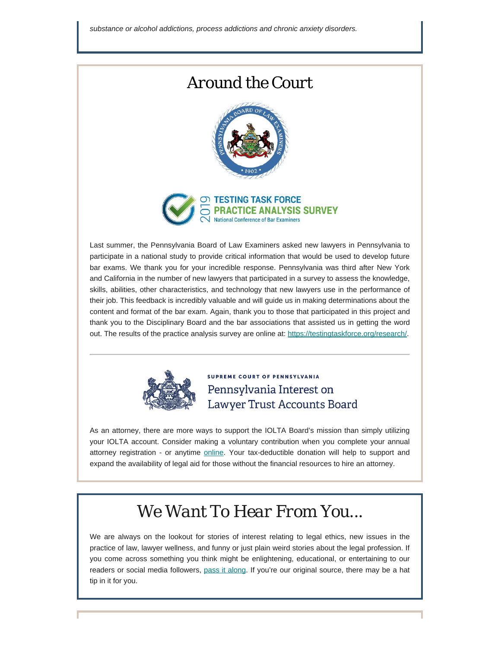### *Around the Court*





Last summer, the Pennsylvania Board of Law Examiners asked new lawyers in Pennsylvania to participate in a national study to provide critical information that would be used to develop future bar exams. We thank you for your incredible response. Pennsylvania was third after New York and California in the number of new lawyers that participated in a survey to assess the knowledge, skills, abilities, other characteristics, and technology that new lawyers use in the performance of their job. This feedback is incredibly valuable and will guide us in making determinations about the content and format of the bar exam. Again, thank you to those that participated in this project and thank you to the Disciplinary Board and the bar associations that assisted us in getting the word out. The results of the practice analysis survey are online at:<https://testingtaskforce.org/research/>.



**SUPREME COURT OF PENNSYLVANIA** Pennsylvania Interest on Lawyer Trust Accounts Board

As an attorney, there are more ways to support the IOLTA Board's mission than simply utilizing your IOLTA account. Consider making a voluntary contribution when you complete your annual attorney registration - or anytime **[online](https://www.paiolta.org/donate/)**. Your tax-deductible donation will help to support and expand the availability of legal aid for those without the financial resources to hire an attorney.

# *We Want To Hear From You...*

We are always on the lookout for stories of interest relating to legal ethics, new issues in the practice of law, lawyer wellness, and funny or just plain weird stories about the legal profession. If you come across something you think might be enlightening, educational, or entertaining to our readers or social media followers, [pass it along](mailto:dboard.news@pacourts.us). If you're our original source, there may be a hat tip in it for you.